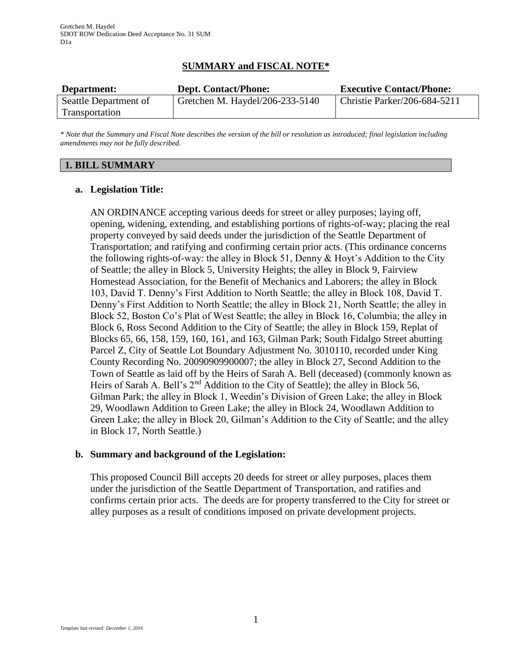# **SUMMARY and FISCAL NOTE\***

| Department:           | <b>Dept. Contact/Phone:</b>     | <b>Executive Contact/Phone:</b> |
|-----------------------|---------------------------------|---------------------------------|
| Seattle Department of | Gretchen M. Haydel/206-233-5140 | Christie Parker/206-684-5211    |
| Transportation        |                                 |                                 |

*\* Note that the Summary and Fiscal Note describes the version of the bill or resolution as introduced; final legislation including amendments may not be fully described.*

## **1. BILL SUMMARY**

## **a. Legislation Title:**

AN ORDINANCE accepting various deeds for street or alley purposes; laying off, opening, widening, extending, and establishing portions of rights-of-way; placing the real property conveyed by said deeds under the jurisdiction of the Seattle Department of Transportation; and ratifying and confirming certain prior acts. (This ordinance concerns the following rights-of-way: the alley in Block 51, Denny & Hoyt's Addition to the City of Seattle; the alley in Block 5, University Heights; the alley in Block 9, Fairview Homestead Association, for the Benefit of Mechanics and Laborers; the alley in Block 103, David T. Denny's First Addition to North Seattle; the alley in Block 108, David T. Denny's First Addition to North Seattle; the alley in Block 21, North Seattle; the alley in Block 52, Boston Co's Plat of West Seattle; the alley in Block 16, Columbia; the alley in Block 6, Ross Second Addition to the City of Seattle; the alley in Block 159, Replat of Blocks 65, 66, 158, 159, 160, 161, and 163, Gilman Park; South Fidalgo Street abutting Parcel Z, City of Seattle Lot Boundary Adjustment No. 3010110, recorded under King County Recording No. 20090909900007; the alley in Block 27, Second Addition to the Town of Seattle as laid off by the Heirs of Sarah A. Bell (deceased) (commonly known as Heirs of Sarah A. Bell's 2<sup>nd</sup> Addition to the City of Seattle); the alley in Block 56, Gilman Park; the alley in Block 1, Weedin's Division of Green Lake; the alley in Block 29, Woodlawn Addition to Green Lake; the alley in Block 24, Woodlawn Addition to Green Lake; the alley in Block 20, Gilman's Addition to the City of Seattle; and the alley in Block 17, North Seattle.)

## **b. Summary and background of the Legislation:**

This proposed Council Bill accepts 20 deeds for street or alley purposes, places them under the jurisdiction of the Seattle Department of Transportation, and ratifies and confirms certain prior acts. The deeds are for property transferred to the City for street or alley purposes as a result of conditions imposed on private development projects.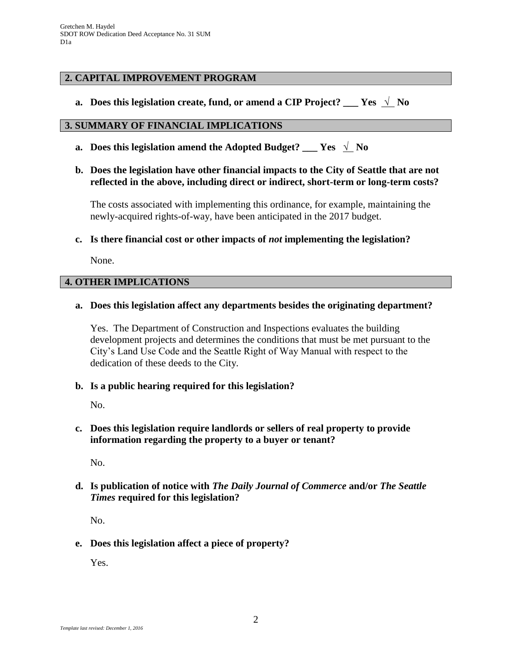### **2. CAPITAL IMPROVEMENT PROGRAM**

**a. Does this legislation create, fund, or amend a CIP Project? \_\_\_ Yes** √ **No**

#### **3. SUMMARY OF FINANCIAL IMPLICATIONS**

- **a.** Does this legislation amend the Adopted Budget? \_\_\_ Yes  $\sqrt{\ }$  No
- **b. Does the legislation have other financial impacts to the City of Seattle that are not reflected in the above, including direct or indirect, short-term or long-term costs?**

The costs associated with implementing this ordinance, for example, maintaining the newly-acquired rights-of-way, have been anticipated in the 2017 budget.

**c. Is there financial cost or other impacts of** *not* **implementing the legislation?**

None.

#### **4. OTHER IMPLICATIONS**

#### **a. Does this legislation affect any departments besides the originating department?**

Yes. The Department of Construction and Inspections evaluates the building development projects and determines the conditions that must be met pursuant to the City's Land Use Code and the Seattle Right of Way Manual with respect to the dedication of these deeds to the City.

**b. Is a public hearing required for this legislation?**

No.

**c. Does this legislation require landlords or sellers of real property to provide information regarding the property to a buyer or tenant?**

No.

**d. Is publication of notice with** *The Daily Journal of Commerce* **and/or** *The Seattle Times* **required for this legislation?**

No.

**e. Does this legislation affect a piece of property?**

Yes.